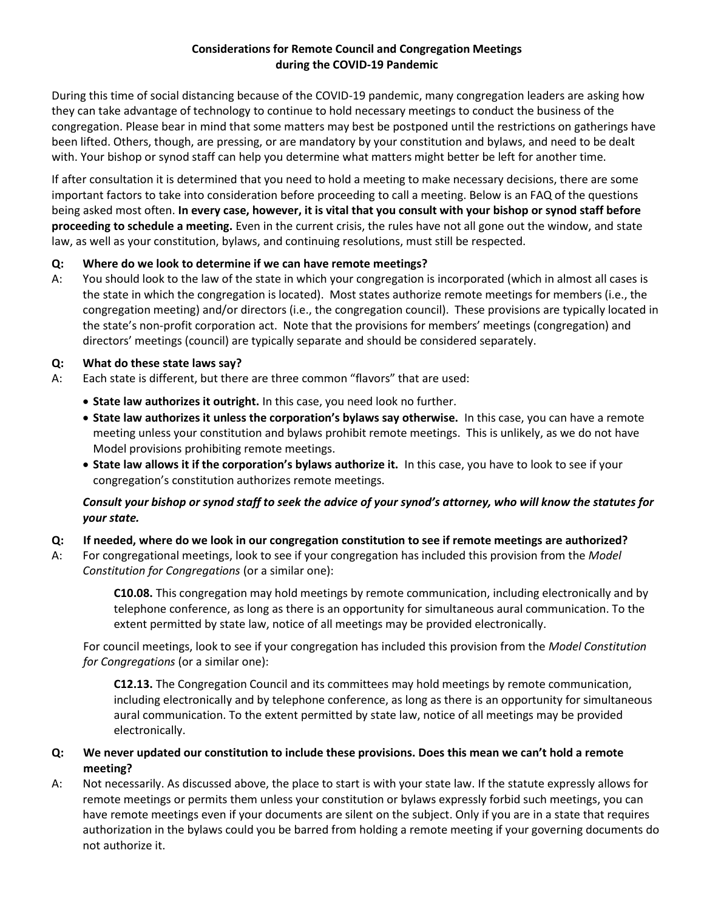## **Considerations for Remote Council and Congregation Meetings during the COVID-19 Pandemic**

During this time of social distancing because of the COVID-19 pandemic, many congregation leaders are asking how they can take advantage of technology to continue to hold necessary meetings to conduct the business of the congregation. Please bear in mind that some matters may best be postponed until the restrictions on gatherings have been lifted. Others, though, are pressing, or are mandatory by your constitution and bylaws, and need to be dealt with. Your bishop or synod staff can help you determine what matters might better be left for another time.

If after consultation it is determined that you need to hold a meeting to make necessary decisions, there are some important factors to take into consideration before proceeding to call a meeting. Below is an FAQ of the questions being asked most often. **In every case, however, it is vital that you consult with your bishop or synod staff before proceeding to schedule a meeting.** Even in the current crisis, the rules have not all gone out the window, and state law, as well as your constitution, bylaws, and continuing resolutions, must still be respected.

## **Q: Where do we look to determine if we can have remote meetings?**

A: You should look to the law of the state in which your congregation is incorporated (which in almost all cases is the state in which the congregation is located). Most states authorize remote meetings for members (i.e., the congregation meeting) and/or directors (i.e., the congregation council). These provisions are typically located in the state's non-profit corporation act. Note that the provisions for members' meetings (congregation) and directors' meetings (council) are typically separate and should be considered separately.

# **Q: What do these state laws say?**

- A: Each state is different, but there are three common "flavors" that are used:
	- **State law authorizes it outright.** In this case, you need look no further.
	- **State law authorizes it unless the corporation's bylaws say otherwise.** In this case, you can have a remote meeting unless your constitution and bylaws prohibit remote meetings. This is unlikely, as we do not have Model provisions prohibiting remote meetings.
	- **State law allows it if the corporation's bylaws authorize it.** In this case, you have to look to see if your congregation's constitution authorizes remote meetings.

# *Consult your bishop or synod staff to seek the advice of your synod's attorney, who will know the statutes for your state.*

## **Q: If needed, where do we look in our congregation constitution to see if remote meetings are authorized?**

A: For congregational meetings, look to see if your congregation has included this provision from the *Model Constitution for Congregations* (or a similar one):

> **C10.08.** This congregation may hold meetings by remote communication, including electronically and by telephone conference, as long as there is an opportunity for simultaneous aural communication. To the extent permitted by state law, notice of all meetings may be provided electronically.

For council meetings, look to see if your congregation has included this provision from the *Model Constitution for Congregations* (or a similar one):

**C12.13.** The Congregation Council and its committees may hold meetings by remote communication, including electronically and by telephone conference, as long as there is an opportunity for simultaneous aural communication. To the extent permitted by state law, notice of all meetings may be provided electronically.

# **Q: We never updated our constitution to include these provisions. Does this mean we can't hold a remote meeting?**

A: Not necessarily. As discussed above, the place to start is with your state law. If the statute expressly allows for remote meetings or permits them unless your constitution or bylaws expressly forbid such meetings, you can have remote meetings even if your documents are silent on the subject. Only if you are in a state that requires authorization in the bylaws could you be barred from holding a remote meeting if your governing documents do not authorize it.